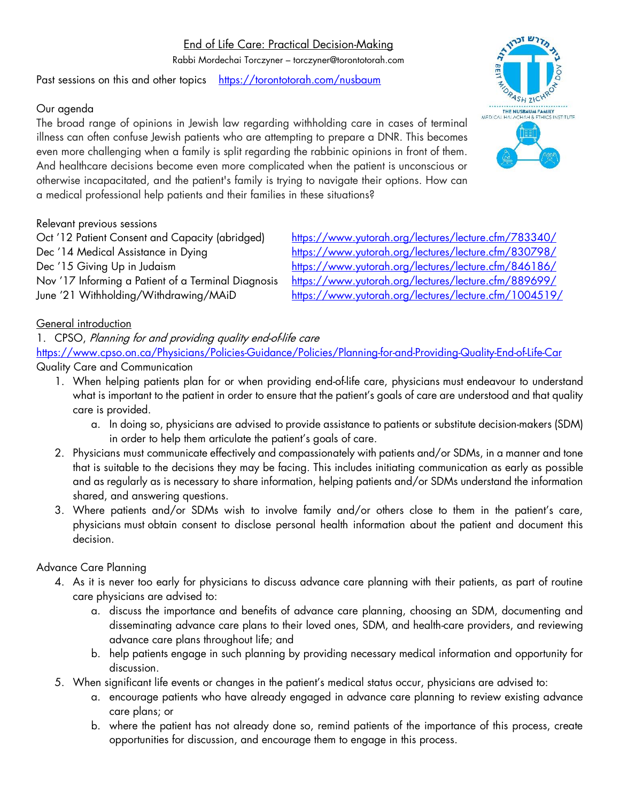# End of Life Care: Practical Decision-Making

Rabbi Mordechai Torczyner – torczyner@torontotorah.com

Past sessions on this and other topics <https://torontotorah.com/nusbaum>

## Our agenda

The broad range of opinions in Jewish law regarding withholding care in cases of terminal illness can often confuse Jewish patients who are attempting to prepare a DNR. This becomes even more challenging when a family is split regarding the rabbinic opinions in front of them. And healthcare decisions become even more complicated when the patient is unconscious or otherwise incapacitated, and the patient's family is trying to navigate their options. How can a medical professional help patients and their families in these situations?

Relevant previous sessions

Oct '12 Patient Consent and Capacity (abridged) <https://www.yutorah.org/lectures/lecture.cfm/783340/>

Dec '14 Medical Assistance in Dying <https://www.yutorah.org/lectures/lecture.cfm/830798/> Dec '15 Giving Up in Judaism <https://www.yutorah.org/lectures/lecture.cfm/846186/> Nov '17 Informing a Patient of a Terminal Diagnosis <https://www.yutorah.org/lectures/lecture.cfm/889699/> June '21 Withholding/Withdrawing/MAiD <https://www.yutorah.org/lectures/lecture.cfm/1004519/>

### General introduction

1. CPSO, Planning for and providing quality end-of-life care

<https://www.cpso.on.ca/Physicians/Policies-Guidance/Policies/Planning-for-and-Providing-Quality-End-of-Life-Car> Quality Care and Communication

- - 1. When helping patients plan for or when providing end-of-life care, physicians must endeavour to understand what is important to the patient in order to ensure that the patient's goals of care are understood and that quality care is provided.
		- a. In doing so, physicians are advised to provide assistance to patients or substitute decision-makers (SDM) in order to help them articulate the patient's goals of care.
	- 2. Physicians must communicate effectively and compassionately with patients and/or SDMs, in a manner and tone that is suitable to the decisions they may be facing. This includes initiating communication as early as possible and as regularly as is necessary to share information, helping patients and/or SDMs understand the information shared, and answering questions.
	- 3. Where patients and/or SDMs wish to involve family and/or others close to them in the patient's care, physicians must obtain consent to disclose personal health information about the patient and document this decision.

# Advance Care Planning

- 4. As it is never too early for physicians to discuss advance care planning with their patients, as part of routine care physicians are advised to:
	- a. discuss the importance and benefits of advance care planning, choosing an SDM, documenting and disseminating advance care plans to their loved ones, SDM, and health-care providers, and reviewing advance care plans throughout life; and
	- b. help patients engage in such planning by providing necessary medical information and opportunity for discussion.
- 5. When significant life events or changes in the patient's medical status occur, physicians are advised to:
	- a. encourage patients who have already engaged in advance care planning to review existing advance care plans; or
	- b. where the patient has not already done so, remind patients of the importance of this process, create opportunities for discussion, and encourage them to engage in this process.



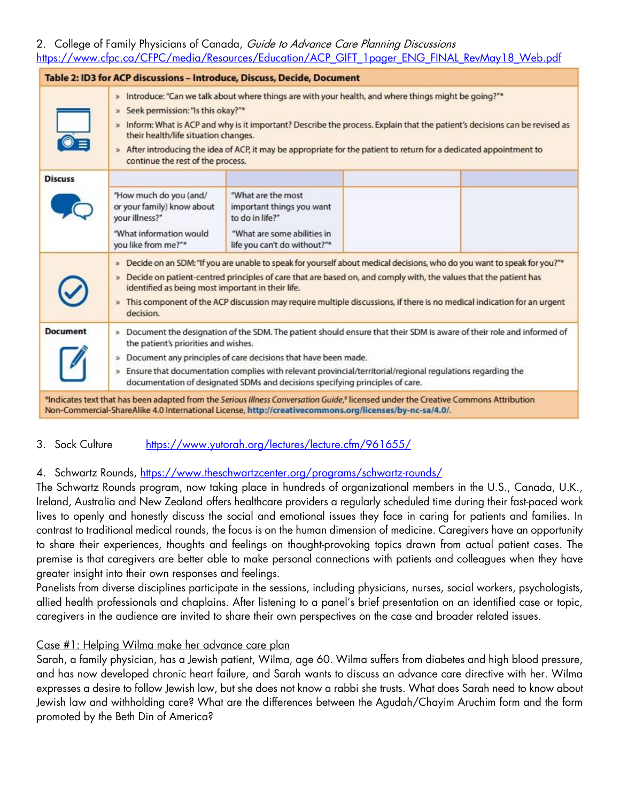## 2. College of Family Physicians of Canada, Guide to Advance Care Planning Discussions [https://www.cfpc.ca/CFPC/media/Resources/Education/ACP\\_GIFT\\_1pager\\_ENG\\_FINAL\\_RevMay18\\_Web.pdf](https://www.cfpc.ca/CFPC/media/Resources/Education/ACP_GIFT_1pager_ENG_FINAL_RevMay18_Web.pdf)

| Table 2: ID3 for ACP discussions - Introduce, Discuss, Decide, Document |                                                                                                                                                                                                                                                                                                                                                                                                                                                                                 |                                                                                                                                                                                                                                                |  |  |  |
|-------------------------------------------------------------------------|---------------------------------------------------------------------------------------------------------------------------------------------------------------------------------------------------------------------------------------------------------------------------------------------------------------------------------------------------------------------------------------------------------------------------------------------------------------------------------|------------------------------------------------------------------------------------------------------------------------------------------------------------------------------------------------------------------------------------------------|--|--|--|
|                                                                         | » Introduce: "Can we talk about where things are with your health, and where things might be going?"*<br>» Seek permission: "Is this okay?"*<br>» Inform: What is ACP and why is it important? Describe the process. Explain that the patient's decisions can be revised as<br>their health/life situation changes.<br>» After introducing the idea of ACP, it may be appropriate for the patient to return for a dedicated appointment to<br>continue the rest of the process. |                                                                                                                                                                                                                                                |  |  |  |
| <b>Discuss</b>                                                          |                                                                                                                                                                                                                                                                                                                                                                                                                                                                                 |                                                                                                                                                                                                                                                |  |  |  |
|                                                                         | "How much do you (and/<br>or your family) know about<br>your illness?"<br>"What information would<br>you like from me?"*                                                                                                                                                                                                                                                                                                                                                        | "What are the most<br>important things you want<br>to do in life?"<br>"What are some abilities in<br>life you can't do without?"*                                                                                                              |  |  |  |
|                                                                         | » Decide on an SDM: "If you are unable to speak for yourself about medical decisions, who do you want to speak for you?"*<br>» Decide on patient-centred principles of care that are based on, and comply with, the values that the patient has<br>identified as being most important in their life.<br>» This component of the ACP discussion may require multiple discussions, if there is no medical indication for an urgent<br>decision.                                   |                                                                                                                                                                                                                                                |  |  |  |
| <b>Document</b>                                                         | » Document the designation of the SDM. The patient should ensure that their SDM is aware of their role and informed of<br>the patient's priorities and wishes.<br>» Document any principles of care decisions that have been made.<br>» Ensure that documentation complies with relevant provincial/territorial/regional regulations regarding the<br>documentation of designated SDMs and decisions specifying principles of care.                                             |                                                                                                                                                                                                                                                |  |  |  |
|                                                                         |                                                                                                                                                                                                                                                                                                                                                                                                                                                                                 | *Indicates text that has been adapted from the Serious Illness Conversation Guide,* licensed under the Creative Commons Attribution<br>Non-Commercial-ShareAlike 4.0 International License, http://creativecommons.org/licenses/by-nc-sa/4.0/. |  |  |  |

### 3. Sock Culture <https://www.yutorah.org/lectures/lecture.cfm/961655/>

#### 4. Schwartz Rounds,<https://www.theschwartzcenter.org/programs/schwartz-rounds/>

The Schwartz Rounds program, now taking place in hundreds of organizational members in the U.S., Canada, U.K., Ireland, Australia and New Zealand offers healthcare providers a regularly scheduled time during their fast-paced work lives to openly and honestly discuss the social and emotional issues they face in caring for patients and families. In contrast to traditional medical rounds, the focus is on the human dimension of medicine. Caregivers have an opportunity to share their experiences, thoughts and feelings on thought-provoking topics drawn from actual patient cases. The premise is that caregivers are better able to make personal connections with patients and colleagues when they have greater insight into their own responses and feelings.

Panelists from diverse disciplines participate in the sessions, including physicians, nurses, social workers, psychologists, allied health professionals and chaplains. After listening to a panel's brief presentation on an identified case or topic, caregivers in the audience are invited to share their own perspectives on the case and broader related issues.

#### Case #1: Helping Wilma make her advance care plan

Sarah, a family physician, has a Jewish patient, Wilma, age 60. Wilma suffers from diabetes and high blood pressure, and has now developed chronic heart failure, and Sarah wants to discuss an advance care directive with her. Wilma expresses a desire to follow Jewish law, but she does not know a rabbi she trusts. What does Sarah need to know about Jewish law and withholding care? What are the differences between the Agudah/Chayim Aruchim form and the form promoted by the Beth Din of America?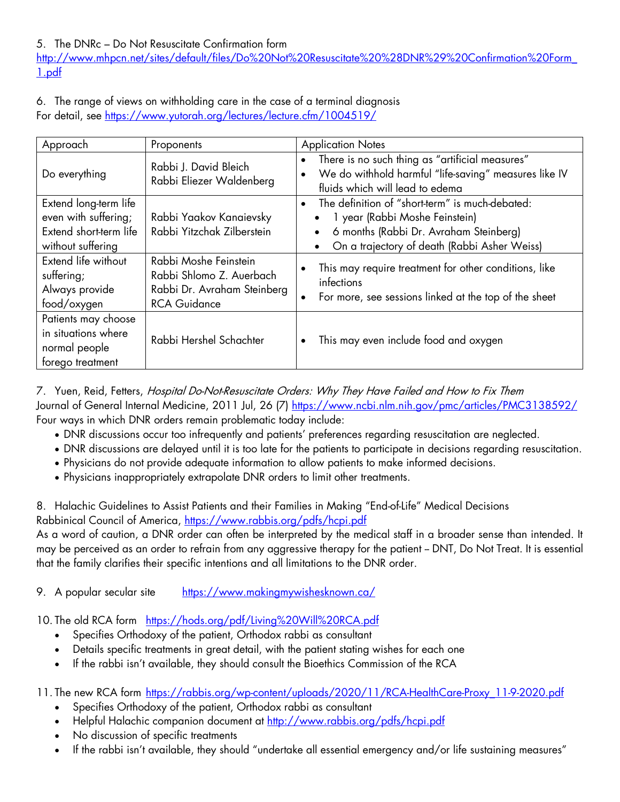[http://www.mhpcn.net/sites/default/files/Do%20Not%20Resuscitate%20%28DNR%29%20Confirmation%20Form\\_](http://www.mhpcn.net/sites/default/files/Do%20Not%20Resuscitate%20%28DNR%29%20Confirmation%20Form_1.pdf) [1.pdf](http://www.mhpcn.net/sites/default/files/Do%20Not%20Resuscitate%20%28DNR%29%20Confirmation%20Form_1.pdf)

6. The range of views on withholding care in the case of a terminal diagnosis For detail, see<https://www.yutorah.org/lectures/lecture.cfm/1004519/>

| Approach                                                                                     | Proponents                                                                                              | <b>Application Notes</b>                                                                                                                                                                              |
|----------------------------------------------------------------------------------------------|---------------------------------------------------------------------------------------------------------|-------------------------------------------------------------------------------------------------------------------------------------------------------------------------------------------------------|
| Do everything                                                                                | Rabbi J. David Bleich<br>Rabbi Eliezer Waldenberg                                                       | There is no such thing as "artificial measures"<br>$\bullet$<br>We do withhold harmful "life-saving" measures like IV<br>$\bullet$<br>fluids which will lead to edema                                 |
| Extend long-term life<br>even with suffering;<br>Extend short-term life<br>without suffering | Rabbi Yaakov Kanaievsky<br>Rabbi Yitzchak Zilberstein                                                   | The definition of "short-term" is much-debated:<br>$\bullet$<br>1 year (Rabbi Moshe Feinstein)<br>6 months (Rabbi Dr. Avraham Steinberg)<br>On a trajectory of death (Rabbi Asher Weiss)<br>$\bullet$ |
| Extend life without<br>suffering;<br>Always provide<br>food/oxygen                           | Rabbi Moshe Feinstein<br>Rabbi Shlomo Z. Auerbach<br>Rabbi Dr. Avraham Steinberg<br><b>RCA Guidance</b> | This may require treatment for other conditions, like<br>$\bullet$<br>infections<br>For more, see sessions linked at the top of the sheet<br>$\bullet$                                                |
| Patients may choose<br>in situations where<br>normal people<br>forego treatment              | Rabbi Hershel Schachter                                                                                 | This may even include food and oxygen<br>$\bullet$                                                                                                                                                    |

7. Yuen, Reid, Fetters, Hospital Do-Not-Resuscitate Orders: Why They Have Failed and How to Fix Them Journal of General Internal Medicine, 2011 Jul, 26 (7)<https://www.ncbi.nlm.nih.gov/pmc/articles/PMC3138592/> Four ways in which DNR orders remain problematic today include:

- DNR discussions occur too infrequently and patients' preferences regarding resuscitation are neglected.
- DNR discussions are delayed until it is too late for the patients to participate in decisions regarding resuscitation.
- Physicians do not provide adequate information to allow patients to make informed decisions.
- Physicians inappropriately extrapolate DNR orders to limit other treatments.

8. Halachic Guidelines to Assist Patients and their Families in Making "End-of-Life" Medical Decisions Rabbinical Council of America,<https://www.rabbis.org/pdfs/hcpi.pdf>

As a word of caution, a DNR order can often be interpreted by the medical staff in a broader sense than intended. It may be perceived as an order to refrain from any aggressive therapy for the patient - DNT, Do Not Treat. It is essential that the family clarifies their specific intentions and all limitations to the DNR order.

9. A popular secular site <https://www.makingmywishesknown.ca/>

10. The old RCA form <https://hods.org/pdf/Living%20Will%20RCA.pdf>

- Specifies Orthodoxy of the patient, Orthodox rabbi as consultant
- Details specific treatments in great detail, with the patient stating wishes for each one
- If the rabbi isn't available, they should consult the Bioethics Commission of the RCA

11. The new RCA form [https://rabbis.org/wp-content/uploads/2020/11/RCA-HealthCare-Proxy\\_11-9-2020.pdf](https://rabbis.org/wp-content/uploads/2020/11/RCA-HealthCare-Proxy_11-9-2020.pdf)

- Specifies Orthodoxy of the patient, Orthodox rabbi as consultant
- Helpful Halachic companion document at<http://www.rabbis.org/pdfs/hcpi.pdf>
- No discussion of specific treatments
- If the rabbi isn't available, they should "undertake all essential emergency and/or life sustaining measures"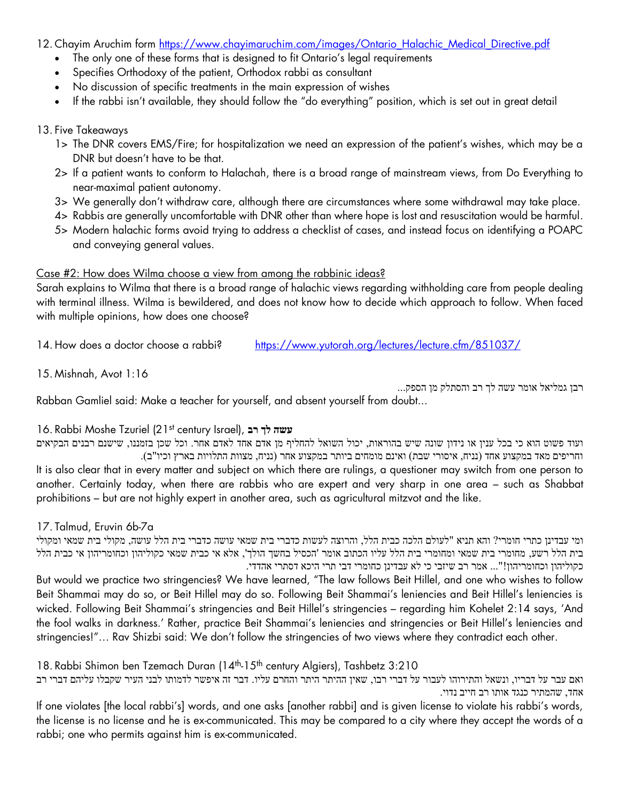12. Chayim Aruchim form [https://www.chayimaruchim.com/images/Ontario\\_Halachic\\_Medical\\_Directive.pdf](https://www.chayimaruchim.com/images/Ontario_Halachic_Medical_Directive.pdf)

- The only one of these forms that is designed to fit Ontario's legal requirements
- Specifies Orthodoxy of the patient, Orthodox rabbi as consultant
- No discussion of specific treatments in the main expression of wishes
- If the rabbi isn't available, they should follow the "do everything" position, which is set out in great detail

#### 13. Five Takeaways

- 1> The DNR covers EMS/Fire; for hospitalization we need an expression of the patient's wishes, which may be a DNR but doesn't have to be that.
- 2> If a patient wants to conform to Halachah, there is a broad range of mainstream views, from Do Everything to near-maximal patient autonomy.
- 3> We generally don't withdraw care, although there are circumstances where some withdrawal may take place.
- 4> Rabbis are generally uncomfortable with DNR other than where hope is lost and resuscitation would be harmful.
- 5> Modern halachic forms avoid trying to address a checklist of cases, and instead focus on identifying a POAPC and conveying general values.

#### Case #2: How does Wilma choose a view from among the rabbinic ideas?

Sarah explains to Wilma that there is a broad range of halachic views regarding withholding care from people dealing with terminal illness. Wilma is bewildered, and does not know how to decide which approach to follow. When faced with multiple opinions, how does one choose?

14. How does a doctor choose a rabbi? <https://www.yutorah.org/lectures/lecture.cfm/851037/>

15. Mishnah, Avot 1:16

רבן גמליאל אומר עשה לך רב והסתלק מן הספק... Rabban Gamliel said: Make a teacher for yourself, and absent yourself from doubt...

#### 16. Rabbi Moshe Tzuriel (21st century Israel), **רב לך עשה**

ועוד פשוט הוא כי בכל ענין או נידון שונה שיש בהוראות, יכול השואל להחליף מן אדם אחד לאדם אחר. וכל שכן בזמננו, שישנם רבנים הבקיאים וחריפים מאד במקצוע אחד )נניח, איסורי שבת( ואינם מומחים ביותר במקצוע אחר )נניח, מצוות התלויות בארץ וכיו"ב(. It is also clear that in every matter and subject on which there are rulings, a questioner may switch from one person to another. Certainly today, when there are rabbis who are expert and very sharp in one area – such as Shabbat prohibitions – but are not highly expert in another area, such as agricultural mitzvot and the like.

17. Talmud, Eruvin 6b-7a

ומי עבדינן כתרי חומרי? והא תניא "לעולם הלכה כבית הלל, והרוצה לעשות כדברי בית שמאי עושה כדברי בית הלל עושה, מקולי בית שמאי ומקולי בית הלל רשע, מחומרי בית שמאי ומחומרי בית הלל עליו הכתוב אומר 'הכסיל בחשך הולך', אלא אי כבית שמאי כקוליהון וכחומריהון אי כבית הלל כקוליהון וכחומריהון !"... אמר רב שיזבי כי לא עבדינן כחומרי דבי תרי היכא דסתרי אהדדי. But would we practice two stringencies? We have learned, "The law follows Beit Hillel, and one who wishes to follow Beit Shammai may do so, or Beit Hillel may do so. Following Beit Shammai's leniencies and Beit Hillel's leniencies is wicked. Following Beit Shammai's stringencies and Beit Hillel's stringencies – regarding him Kohelet 2:14 says, 'And the fool walks in darkness.' Rather, practice Beit Shammai's leniencies and stringencies or Beit Hillel's leniencies and stringencies!"… Rav Shizbi said: We don't follow the stringencies of two views where they contradict each other.

18. Rabbi Shimon ben Tzemach Duran (14<sup>th</sup>-15<sup>th</sup> century Algiers), Tashbetz 3:210

ואם עבר על דבריו, ונשאל והתירוהו לעבור על דברי רבו, שאין ההיתר היתר והחרם עליו. דבר זה איפשר לדמותו לבני העיר שקבלו עליהם דברי רב אחד, שהמתיר כנגד אותו רב חייב נדוי.

If one violates [the local rabbi's] words, and one asks [another rabbi] and is given license to violate his rabbi's words, the license is no license and he is ex-communicated. This may be compared to a city where they accept the words of a rabbi; one who permits against him is ex-communicated.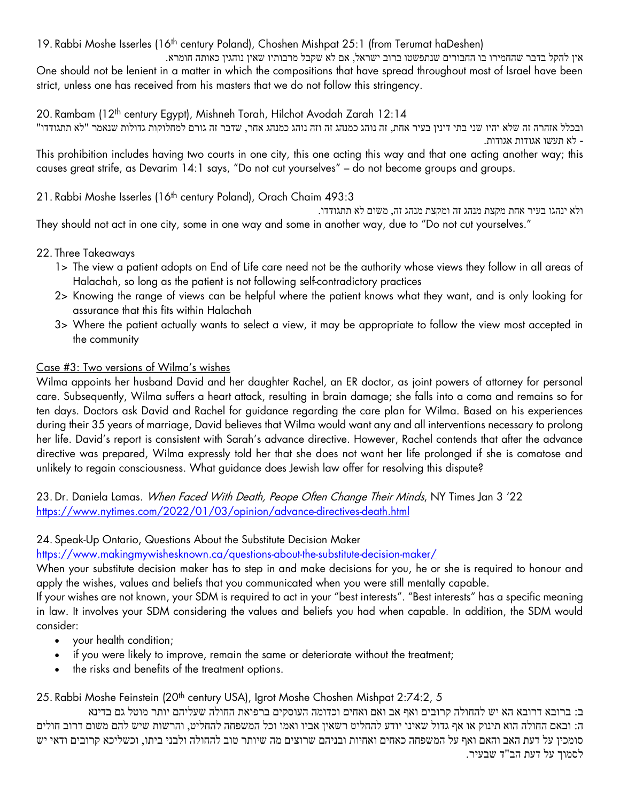19. Rabbi Moshe Isserles (16<sup>th</sup> century Poland), Choshen Mishpat 25:1 (from Terumat haDeshen)

אין להקל בדבר שהחמירו בו החבורים שנתפשטו ברוב ישראל, אם לא שקבל מרבותיו שאין נוהגין כאותה חומרא. One should not be lenient in a matter in which the compositions that have spread throughout most of Israel have been strict, unless one has received from his masters that we do not follow this stringency.

20. Rambam (12<sup>th</sup> century Egypt), Mishneh Torah, Hilchot Avodah Zarah 12:14

ובכלל אזהרה זה שלא יהיו שני בתי דינין בעיר אחת, זה נוהג כמנהג זה וזה נוהג כמנהג אחר, שדבר זה גורם למחלוקות גדולות שנאמר "לא תתגודדו " - לא תעשו אגודות אגודות.

This prohibition includes having two courts in one city, this one acting this way and that one acting another way; this causes great strife, as Devarim 14:1 says, "Do not cut yourselves" – do not become groups and groups.

21. Rabbi Moshe Isserles (16<sup>th</sup> century Poland), Orach Chaim 493:3

ולא ינהגו בעיר אחת מקצת מנהג זה ומקצת מנהג זה, משום לא תתגודדו. They should not act in one city, some in one way and some in another way, due to "Do not cut yourselves."

### 22. Three Takeaways

- 1> The view a patient adopts on End of Life care need not be the authority whose views they follow in all areas of Halachah, so long as the patient is not following self-contradictory practices
- 2> Knowing the range of views can be helpful where the patient knows what they want, and is only looking for assurance that this fits within Halachah
- 3> Where the patient actually wants to select a view, it may be appropriate to follow the view most accepted in the community

### Case #3: Two versions of Wilma's wishes

Wilma appoints her husband David and her daughter Rachel, an ER doctor, as joint powers of attorney for personal care. Subsequently, Wilma suffers a heart attack, resulting in brain damage; she falls into a coma and remains so for ten days. Doctors ask David and Rachel for guidance regarding the care plan for Wilma. Based on his experiences during their 35 years of marriage, David believes that Wilma would want any and all interventions necessary to prolong her life. David's report is consistent with Sarah's advance directive. However, Rachel contends that after the advance directive was prepared, Wilma expressly told her that she does not want her life prolonged if she is comatose and unlikely to regain consciousness. What guidance does Jewish law offer for resolving this dispute?

23. Dr. Daniela Lamas. When Faced With Death, Peope Often Change Their Minds, NY Times Jan 3'22 <https://www.nytimes.com/2022/01/03/opinion/advance-directives-death.html>

### 24. Speak-Up Ontario, Questions About the Substitute Decision Maker

<https://www.makingmywishesknown.ca/questions-about-the-substitute-decision-maker/>

When your substitute decision maker has to step in and make decisions for you, he or she is required to honour and apply the wishes, values and beliefs that you communicated when you were still mentally capable.

If your wishes are not known, your SDM is required to act in your "best interests". "Best interests" has a specific meaning in law. It involves your SDM considering the values and beliefs you had when capable. In addition, the SDM would consider:

- your health condition;
- if you were likely to improve, remain the same or deteriorate without the treatment;
- the risks and benefits of the treatment options.

25. Rabbi Moshe Feinstein (20<sup>th</sup> century USA), Igrot Moshe Choshen Mishpat 2:74:2, 5

ב: ברובא דרובא הא יש להחולה קרובים ואף אב ואם ואחים וכדומה העוסקים ברפואת החולה שעליהם יותר מוטל גם בדינא ה: ובאם החולה הוא תינוק או אף גדול שאינו יודע להחליט רשאין אביו ואמו וכל המשפחה להחליט, והרשות שיש להם משום דרוב חולים סומכין על דעת האב והאם ואף על המשפחה כאחים ואחיות ובניהם שרוצים מה שיותר טוב להחולה ולבני ביתו, וכשליכא קרובים ודאי יש לסמוך על דעת הב"ד שבעיר.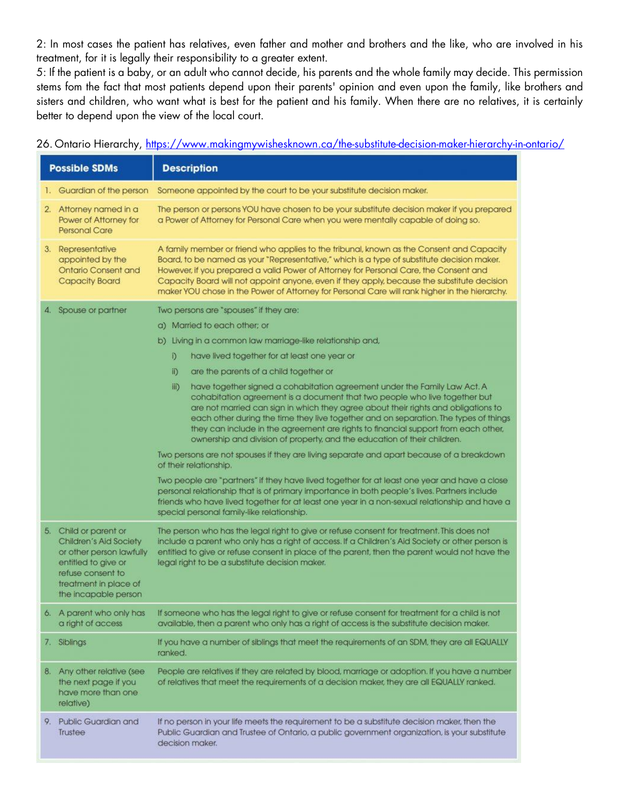2: In most cases the patient has relatives, even father and mother and brothers and the like, who are involved in his treatment, for it is legally their responsibility to a greater extent.

5: If the patient is a baby, or an adult who cannot decide, his parents and the whole family may decide. This permission stems fom the fact that most patients depend upon their parents' opinion and even upon the family, like brothers and sisters and children, who want what is best for the patient and his family. When there are no relatives, it is certainly better to depend upon the view of the local court.

26. Ontario Hierarchy,<https://www.makingmywishesknown.ca/the-substitute-decision-maker-hierarchy-in-ontario/>

| <b>Possible SDMs</b>                                                                  |                                                                                                                                                                          | <b>Description</b>                                                                                                                                                                                                                                                                                                                                                                                                                                                                                              |  |  |  |
|---------------------------------------------------------------------------------------|--------------------------------------------------------------------------------------------------------------------------------------------------------------------------|-----------------------------------------------------------------------------------------------------------------------------------------------------------------------------------------------------------------------------------------------------------------------------------------------------------------------------------------------------------------------------------------------------------------------------------------------------------------------------------------------------------------|--|--|--|
|                                                                                       | 1. Guardian of the person                                                                                                                                                | Someone appointed by the court to be your substitute decision maker.                                                                                                                                                                                                                                                                                                                                                                                                                                            |  |  |  |
|                                                                                       | 2. Attorney named in a<br>Power of Attorney for<br><b>Personal Care</b>                                                                                                  | The person or persons YOU have chosen to be your substitute decision maker if you prepared<br>a Power of Attorney for Personal Care when you were mentally capable of doing so.                                                                                                                                                                                                                                                                                                                                 |  |  |  |
|                                                                                       | 3. Representative<br>appointed by the<br><b>Ontario Consent and</b><br><b>Capacity Board</b>                                                                             | A family member or friend who applies to the tribunal, known as the Consent and Capacity<br>Board, to be named as your "Representative," which is a type of substitute decision maker.<br>However, if you prepared a valid Power of Attorney for Personal Care, the Consent and<br>Capacity Board will not appoint anyone, even if they apply, because the substitute decision<br>maker YOU chose in the Power of Attorney for Personal Care will rank higher in the hierarchy.                                 |  |  |  |
|                                                                                       | 4. Spouse or partner                                                                                                                                                     | Two persons are "spouses" if they are:                                                                                                                                                                                                                                                                                                                                                                                                                                                                          |  |  |  |
|                                                                                       |                                                                                                                                                                          | a) Married to each other; or                                                                                                                                                                                                                                                                                                                                                                                                                                                                                    |  |  |  |
|                                                                                       |                                                                                                                                                                          | b) Living in a common law marriage-like relationship and,                                                                                                                                                                                                                                                                                                                                                                                                                                                       |  |  |  |
|                                                                                       |                                                                                                                                                                          | have lived together for at least one year or<br>D.                                                                                                                                                                                                                                                                                                                                                                                                                                                              |  |  |  |
|                                                                                       |                                                                                                                                                                          | $\mathbb{D}$<br>are the parents of a child together or                                                                                                                                                                                                                                                                                                                                                                                                                                                          |  |  |  |
|                                                                                       |                                                                                                                                                                          | have together signed a cohabitation agreement under the Family Law Act. A<br>iii)<br>cohabitation agreement is a document that two people who live together but<br>are not married can sign in which they agree about their rights and obligations to<br>each other during the time they live together and on separation. The types of things<br>they can include in the agreement are rights to financial support from each other,<br>ownership and division of property, and the education of their children. |  |  |  |
|                                                                                       |                                                                                                                                                                          | Two persons are not spouses if they are living separate and apart because of a breakdown<br>of their relationship.                                                                                                                                                                                                                                                                                                                                                                                              |  |  |  |
|                                                                                       |                                                                                                                                                                          | Two people are "partners" if they have lived together for at least one year and have a close<br>personal relationship that is of primary importance in both people's lives. Partners include<br>friends who have lived together for at least one year in a non-sexual relationship and have a<br>special personal family-like relationship.                                                                                                                                                                     |  |  |  |
|                                                                                       | 5. Child or parent or<br>Children's Aid Society<br>or other person lawfully<br>entitled to give or<br>refuse consent to<br>treatment in place of<br>the incapable person | The person who has the legal right to give or refuse consent for treatment. This does not<br>include a parent who only has a right of access. If a Children's Aid Society or other person is<br>entitled to give or refuse consent in place of the parent, then the parent would not have the<br>legal right to be a substitute decision maker.                                                                                                                                                                 |  |  |  |
|                                                                                       | 6. A parent who only has<br>a right of access                                                                                                                            | If someone who has the legal right to give or refuse consent for treatment for a child is not<br>available, then a parent who only has a right of access is the substitute decision maker.                                                                                                                                                                                                                                                                                                                      |  |  |  |
|                                                                                       | 7. Siblings                                                                                                                                                              | If you have a number of siblings that meet the requirements of an SDM, they are all EQUALLY<br>ranked.                                                                                                                                                                                                                                                                                                                                                                                                          |  |  |  |
| 8. Any other relative (see<br>the next page if you<br>have more than one<br>relative) |                                                                                                                                                                          | People are relatives if they are related by blood, marriage or adoption. If you have a number<br>of relatives that meet the requirements of a decision maker, they are all EQUALLY ranked.                                                                                                                                                                                                                                                                                                                      |  |  |  |
| 9.                                                                                    | Public Guardian and<br>Trustee                                                                                                                                           | If no person in your life meets the requirement to be a substitute decision maker, then the<br>Public Guardian and Trustee of Ontario, a public government organization, is your substitute<br>decision maker.                                                                                                                                                                                                                                                                                                  |  |  |  |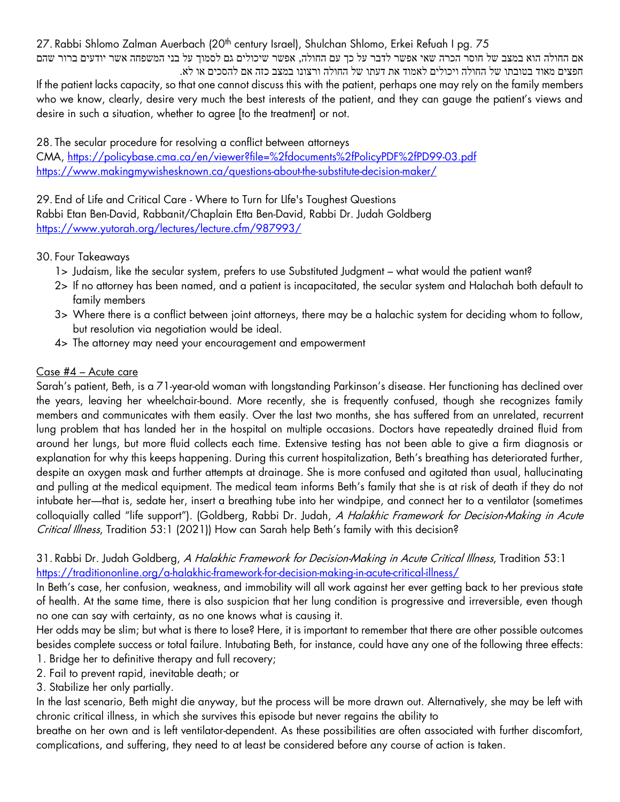27. Rabbi Shlomo Zalman Auerbach (20<sup>th</sup> century Israel), Shulchan Shlomo, Erkei Refuah I pg. 75 אם החולה הוא במצב של חוסר הכרה שאי אפשר לדבר על כך עם החולה, אפשר שיכולים גם לסמוך על בני המשפחה אשר יודעים ברור שהם חפצים מאוד בטובתו של החולה ויכולים לאמוד את דעתו של החולה ורצונו במצב כזה אם להסכים או לא.

If the patient lacks capacity, so that one cannot discuss this with the patient, perhaps one may rely on the family members who we know, clearly, desire very much the best interests of the patient, and they can gauge the patient's views and desire in such a situation, whether to agree [to the treatment] or not.

28. The secular procedure for resolving a conflict between attorneys

CMA,<https://policybase.cma.ca/en/viewer?file=%2fdocuments%2fPolicyPDF%2fPD99-03.pdf> <https://www.makingmywishesknown.ca/questions-about-the-substitute-decision-maker/>

29. End of Life and Critical Care - Where to Turn for LIfe's Toughest Questions Rabbi Etan Ben-David, Rabbanit/Chaplain Etta Ben-David, Rabbi Dr. Judah Goldberg <https://www.yutorah.org/lectures/lecture.cfm/987993/>

## 30. Four Takeaways

- 1> Judaism, like the secular system, prefers to use Substituted Judgment what would the patient want?
- 2> If no attorney has been named, and a patient is incapacitated, the secular system and Halachah both default to family members
- 3> Where there is a conflict between joint attorneys, there may be a halachic system for deciding whom to follow, but resolution via negotiation would be ideal.
- 4> The attorney may need your encouragement and empowerment

# Case #4 – Acute care

Sarah's patient, Beth, is a 71-year-old woman with longstanding Parkinson's disease. Her functioning has declined over the years, leaving her wheelchair-bound. More recently, she is frequently confused, though she recognizes family members and communicates with them easily. Over the last two months, she has suffered from an unrelated, recurrent lung problem that has landed her in the hospital on multiple occasions. Doctors have repeatedly drained fluid from around her lungs, but more fluid collects each time. Extensive testing has not been able to give a firm diagnosis or explanation for why this keeps happening. During this current hospitalization, Beth's breathing has deteriorated further, despite an oxygen mask and further attempts at drainage. She is more confused and agitated than usual, hallucinating and pulling at the medical equipment. The medical team informs Beth's family that she is at risk of death if they do not intubate her—that is, sedate her, insert a breathing tube into her windpipe, and connect her to a ventilator (sometimes colloquially called "life support"). (Goldberg, Rabbi Dr. Judah, A Halakhic Framework for Decision-Making in Acute Critical Illness, Tradition 53:1 (2021)) How can Sarah help Beth's family with this decision?

31. Rabbi Dr. Judah Goldberg, *A Halakhic Framework for Decision-Making in Acute Critical Illness*, Tradition 53:1 <https://traditiononline.org/a-halakhic-framework-for-decision-making-in-acute-critical-illness/>

In Beth's case, her confusion, weakness, and immobility will all work against her ever getting back to her previous state of health. At the same time, there is also suspicion that her lung condition is progressive and irreversible, even though no one can say with certainty, as no one knows what is causing it.

Her odds may be slim; but what is there to lose? Here, it is important to remember that there are other possible outcomes besides complete success or total failure. Intubating Beth, for instance, could have any one of the following three effects: 1. Bridge her to definitive therapy and full recovery;

- 2. Fail to prevent rapid, inevitable death; or
- 3. Stabilize her only partially.

In the last scenario, Beth might die anyway, but the process will be more drawn out. Alternatively, she may be left with chronic critical illness, in which she survives this episode but never regains the ability to

breathe on her own and is left ventilator-dependent. As these possibilities are often associated with further discomfort, complications, and suffering, they need to at least be considered before any course of action is taken.